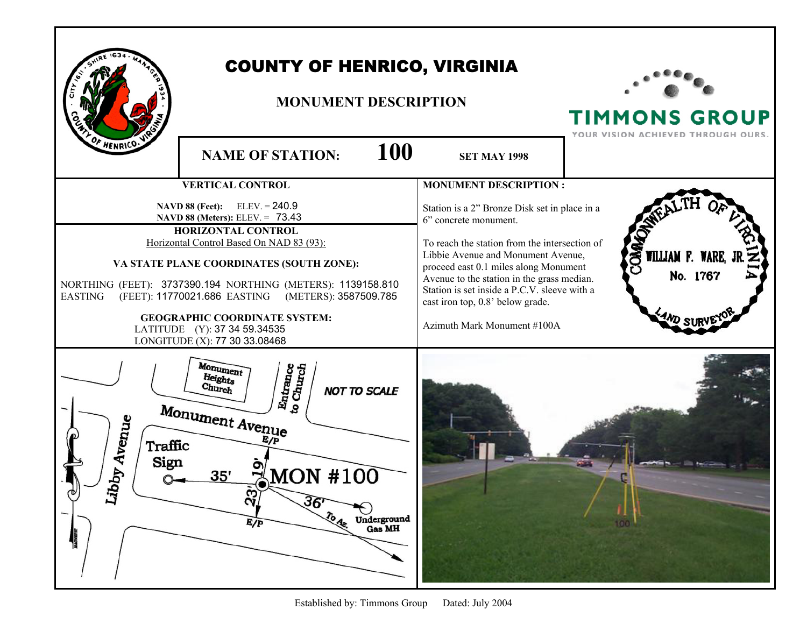|                                                                                                                                                                                                                                                                                                                                                                                                                                            | <b>COUNTY OF HENRICO, VIRGINIA</b><br><b>MONUMENT DESCRIPTION</b>                                                                                                                                           |                                                                                                                                                                                                                                                                                                                                                                         | <b>TIMMONS GROUP</b><br>VISION ACHIEVED THROUGH OURS.        |
|--------------------------------------------------------------------------------------------------------------------------------------------------------------------------------------------------------------------------------------------------------------------------------------------------------------------------------------------------------------------------------------------------------------------------------------------|-------------------------------------------------------------------------------------------------------------------------------------------------------------------------------------------------------------|-------------------------------------------------------------------------------------------------------------------------------------------------------------------------------------------------------------------------------------------------------------------------------------------------------------------------------------------------------------------------|--------------------------------------------------------------|
| OF HENRICO.                                                                                                                                                                                                                                                                                                                                                                                                                                | 100<br><b>NAME OF STATION:</b>                                                                                                                                                                              | <b>SET MAY 1998</b>                                                                                                                                                                                                                                                                                                                                                     |                                                              |
|                                                                                                                                                                                                                                                                                                                                                                                                                                            | <b>VERTICAL CONTROL</b>                                                                                                                                                                                     | <b>MONUMENT DESCRIPTION:</b>                                                                                                                                                                                                                                                                                                                                            |                                                              |
| <b>NAVD 88 (Feet):</b> ELEV. = $240.9$<br>NAVD 88 (Meters): ELEV. = 73.43<br>HORIZONTAL CONTROL<br>Horizontal Control Based On NAD 83 (93):<br>VA STATE PLANE COORDINATES (SOUTH ZONE):<br>NORTHING (FEET): 3737390.194 NORTHING (METERS): 1139158.810<br>(FEET): 11770021.686 EASTING<br>(METERS): 3587509.785<br><b>EASTING</b><br><b>GEOGRAPHIC COORDINATE SYSTEM:</b><br>LATITUDE (Y): 37 34 59.34535<br>LONGITUDE (X): 77 30 33.08468 |                                                                                                                                                                                                             | Station is a 2" Bronze Disk set in place in a<br>6" concrete monument.<br>To reach the station from the intersection of<br>Libbie Avenue and Monument Avenue,<br>proceed east 0.1 miles along Monument<br>Avenue to the station in the grass median.<br>Station is set inside a P.C.V. sleeve with a<br>cast iron top, 0.8' below grade.<br>Azimuth Mark Monument #100A | <b>ONNO</b><br>WILLIAM F. WARE, J<br>No. 1767<br>$4M_{D,ST}$ |
| Avenue<br>Traffic<br>Sign<br>Aqc<br>৻৵<br>Л                                                                                                                                                                                                                                                                                                                                                                                                | Monument<br>Entrance<br>to Church<br>Heights<br>Church<br><b>NOT TO SCALE</b><br>Monument Avenue<br>$_{\rm{MON}}$ #100<br>35'<br>$\mathbf{S}$<br>$36'$ To $4.$<br>Underground<br>Gas MH<br>$E/\overline{P}$ |                                                                                                                                                                                                                                                                                                                                                                         |                                                              |

Established by: Timmons Group Dated: July 2004